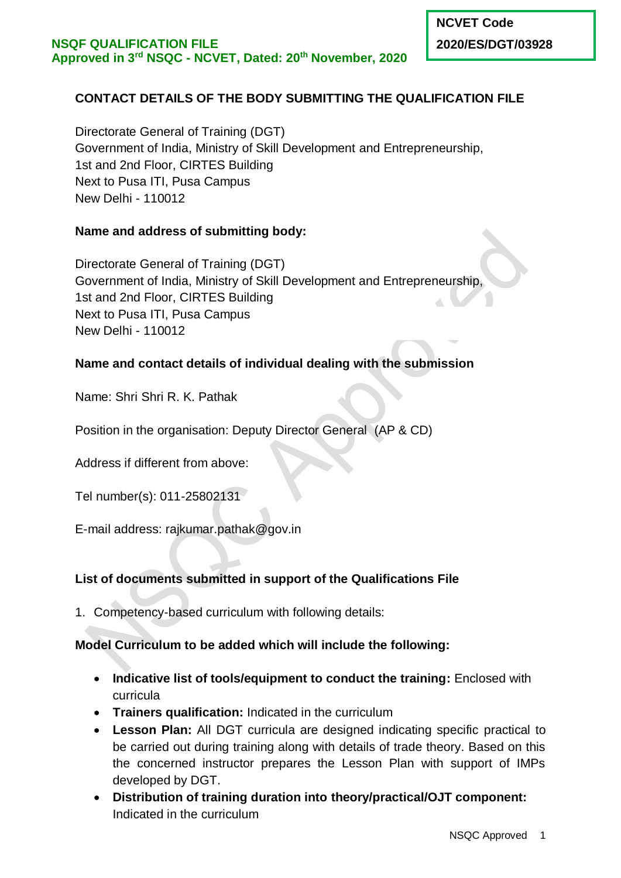# **CONTACT DETAILS OF THE BODY SUBMITTING THE QUALIFICATION FILE**

Directorate General of Training (DGT) Government of India, Ministry of Skill Development and Entrepreneurship, 1st and 2nd Floor, CIRTES Building Next to Pusa ITI, Pusa Campus New Delhi - 110012

# **Name and address of submitting body:**

Directorate General of Training (DGT) Government of India, Ministry of Skill Development and Entrepreneurship, 1st and 2nd Floor, CIRTES Building Next to Pusa ITI, Pusa Campus New Delhi - 110012

# **Name and contact details of individual dealing with the submission**

Name: Shri Shri R. K. Pathak

Position in the organisation: Deputy Director General (AP & CD)

Address if different from above:

Tel number(s): 011-25802131

E-mail address: rajkumar.pathak@gov.in

## **List of documents submitted in support of the Qualifications File**

1. Competency-based curriculum with following details:

## **Model Curriculum to be added which will include the following:**

- **Indicative list of tools/equipment to conduct the training:** Enclosed with curricula
- **Trainers qualification:** Indicated in the curriculum
- **Lesson Plan:** All DGT curricula are designed indicating specific practical to be carried out during training along with details of trade theory. Based on this the concerned instructor prepares the Lesson Plan with support of IMPs developed by DGT.
- **Distribution of training duration into theory/practical/OJT component:**  Indicated in the curriculum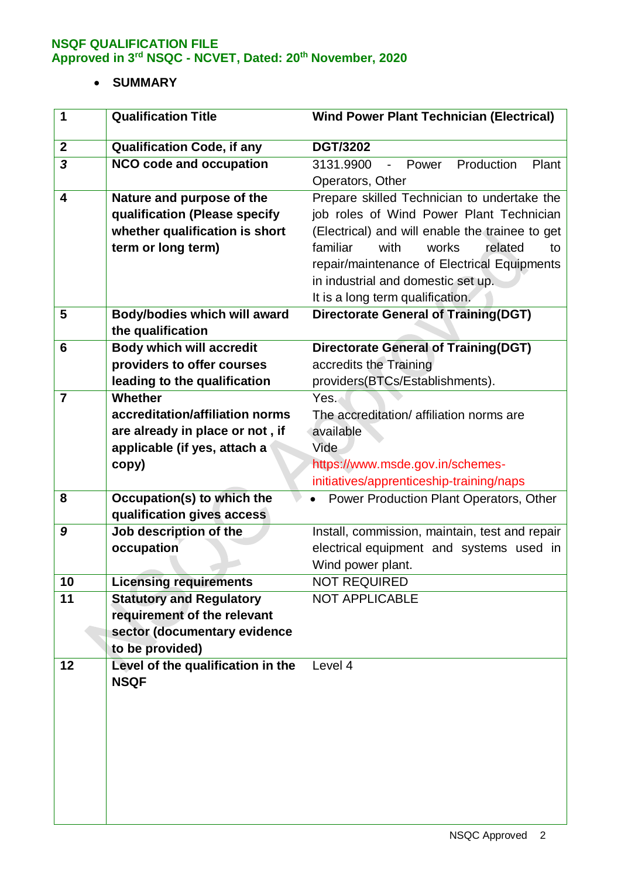# **SUMMARY**

| 1                       | <b>Qualification Title</b>          | <b>Wind Power Plant Technician (Electrical)</b>     |
|-------------------------|-------------------------------------|-----------------------------------------------------|
| $\boldsymbol{2}$        | <b>Qualification Code, if any</b>   | <b>DGT/3202</b>                                     |
| $\overline{\mathbf{3}}$ | <b>NCO code and occupation</b>      | Production<br>3131.9900<br>Power<br>Plant<br>$\sim$ |
|                         |                                     | Operators, Other                                    |
| 4                       | Nature and purpose of the           | Prepare skilled Technician to undertake the         |
|                         | qualification (Please specify       | job roles of Wind Power Plant Technician            |
|                         | whether qualification is short      | (Electrical) and will enable the trainee to get     |
|                         | term or long term)                  | familiar<br>works<br>related<br>with<br>to          |
|                         |                                     | repair/maintenance of Electrical Equipments         |
|                         |                                     | in industrial and domestic set up.                  |
|                         |                                     | It is a long term qualification.                    |
| 5                       | <b>Body/bodies which will award</b> | <b>Directorate General of Training(DGT)</b>         |
|                         | the qualification                   |                                                     |
| 6                       | <b>Body which will accredit</b>     | <b>Directorate General of Training(DGT)</b>         |
|                         | providers to offer courses          | accredits the Training                              |
|                         | leading to the qualification        | providers(BTCs/Establishments).                     |
| $\overline{7}$          | Whether                             | Yes.                                                |
|                         | accreditation/affiliation norms     | The accreditation/ affiliation norms are            |
|                         | are already in place or not, if     | available                                           |
|                         | applicable (if yes, attach a        | Vide                                                |
|                         | copy)                               | https://www.msde.gov.in/schemes-                    |
| 8                       | Occupation(s) to which the          | initiatives/apprenticeship-training/naps            |
|                         | qualification gives access          | Power Production Plant Operators, Other             |
| 9                       | Job description of the              | Install, commission, maintain, test and repair      |
|                         | occupation                          | electrical equipment and systems used in            |
|                         |                                     | Wind power plant.                                   |
| 10                      | <b>Licensing requirements</b>       | <b>NOT REQUIRED</b>                                 |
| 11                      | <b>Statutory and Regulatory</b>     | <b>NOT APPLICABLE</b>                               |
|                         | requirement of the relevant         |                                                     |
|                         | sector (documentary evidence        |                                                     |
|                         | to be provided)                     |                                                     |
| 12                      | Level of the qualification in the   | Level 4                                             |
|                         | <b>NSQF</b>                         |                                                     |
|                         |                                     |                                                     |
|                         |                                     |                                                     |
|                         |                                     |                                                     |
|                         |                                     |                                                     |
|                         |                                     |                                                     |
|                         |                                     |                                                     |
|                         |                                     |                                                     |
|                         |                                     |                                                     |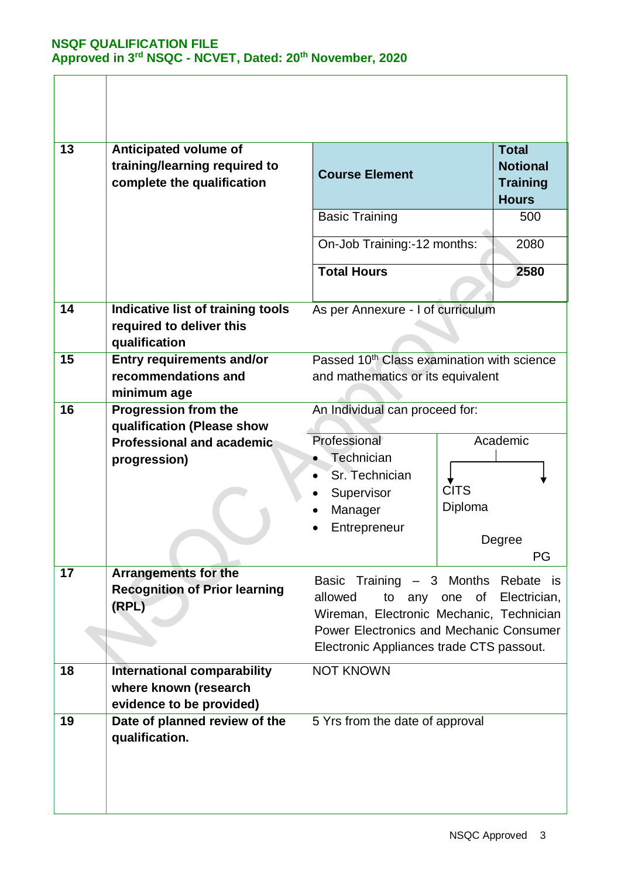| 13 | <b>Anticipated volume of</b><br>training/learning required to<br>complete the qualification | <b>Course Element</b>                                                                                                                                                                                 |                        | <b>Total</b><br><b>Notional</b><br><b>Training</b><br><b>Hours</b> |
|----|---------------------------------------------------------------------------------------------|-------------------------------------------------------------------------------------------------------------------------------------------------------------------------------------------------------|------------------------|--------------------------------------------------------------------|
|    |                                                                                             | <b>Basic Training</b>                                                                                                                                                                                 |                        | 500                                                                |
|    |                                                                                             | On-Job Training:-12 months:                                                                                                                                                                           |                        | 2080                                                               |
|    |                                                                                             | <b>Total Hours</b>                                                                                                                                                                                    |                        | 2580                                                               |
| 14 | Indicative list of training tools<br>required to deliver this<br>qualification              | As per Annexure - I of curriculum                                                                                                                                                                     |                        |                                                                    |
| 15 | <b>Entry requirements and/or</b><br>recommendations and<br>minimum age                      | Passed 10 <sup>th</sup> Class examination with science<br>and mathematics or its equivalent                                                                                                           |                        |                                                                    |
| 16 | <b>Progression from the</b><br>qualification (Please show                                   | An Individual can proceed for:<br>Professional                                                                                                                                                        |                        | Academic                                                           |
|    | <b>Professional and academic</b><br>progression)                                            | Technician<br>Sr. Technician<br>Supervisor<br>Manager<br>Entrepreneur                                                                                                                                 | <b>CITS</b><br>Diploma | Degree                                                             |
| 17 |                                                                                             |                                                                                                                                                                                                       |                        | PG                                                                 |
|    | <b>Arrangements for the</b><br><b>Recognition of Prior learning</b><br>(RPL)                | Basic Training - 3 Months Rebate is<br>allowed<br>to<br>any<br>Wireman, Electronic Mechanic, Technician<br><b>Power Electronics and Mechanic Consumer</b><br>Electronic Appliances trade CTS passout. | of<br>one              | Electrician,                                                       |
| 18 | <b>International comparability</b><br>where known (research<br>evidence to be provided)     | <b>NOT KNOWN</b>                                                                                                                                                                                      |                        |                                                                    |
| 19 | Date of planned review of the<br>qualification.                                             | 5 Yrs from the date of approval                                                                                                                                                                       |                        |                                                                    |
|    |                                                                                             |                                                                                                                                                                                                       |                        |                                                                    |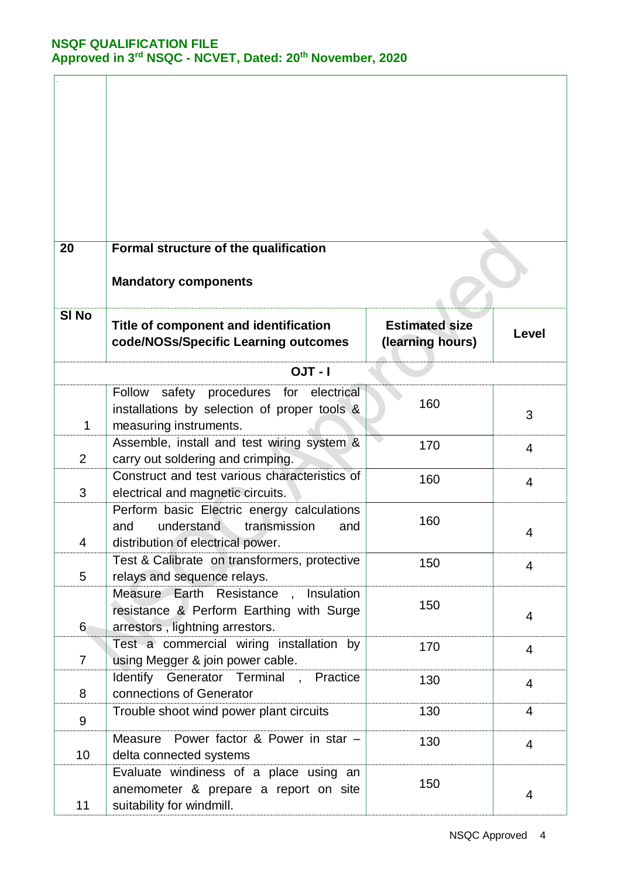| 20               | Formal structure of the qualification<br><b>Mandatory components</b>                                                        |                                           |                |
|------------------|-----------------------------------------------------------------------------------------------------------------------------|-------------------------------------------|----------------|
| SI <sub>No</sub> | Title of component and identification<br>code/NOSs/Specific Learning outcomes                                               | <b>Estimated size</b><br>(learning hours) | Level          |
|                  | $OJT - I$                                                                                                                   |                                           |                |
| 1                | safety procedures for electrical<br>Follow<br>installations by selection of proper tools &<br>measuring instruments.        | 160                                       | 3              |
| $\overline{2}$   | Assemble, install and test wiring system &<br>carry out soldering and crimping.                                             | 170                                       | 4              |
| 3                | Construct and test various characteristics of<br>electrical and magnetic circuits.                                          | 160                                       | $\overline{4}$ |
| 4                | Perform basic Electric energy calculations<br>understand<br>transmission<br>and<br>and<br>distribution of electrical power. | 160                                       | 4              |
| 5                | Test & Calibrate on transformers, protective<br>relays and sequence relays.                                                 | 150                                       | $\overline{4}$ |
| $6 \,$           | Measure Earth Resistance,<br>Insulation<br>resistance & Perform Earthing with Surge<br>arrestors, lightning arrestors.      | 150                                       | 4              |
| $\overline{7}$   | Test a commercial wiring installation by<br>using Megger & join power cable.                                                | 170                                       | $\overline{4}$ |
| 8                | Identify<br>Generator Terminal , Practice<br>connections of Generator                                                       | 130                                       | $\overline{4}$ |
| 9                | Trouble shoot wind power plant circuits                                                                                     | 130                                       | $\overline{4}$ |
| 10               | Power factor & Power in star -<br>Measure<br>delta connected systems                                                        | 130                                       | 4              |
| 11               | Evaluate windiness of a place using an<br>anemometer & prepare a report on site<br>suitability for windmill.                | 150                                       | 4              |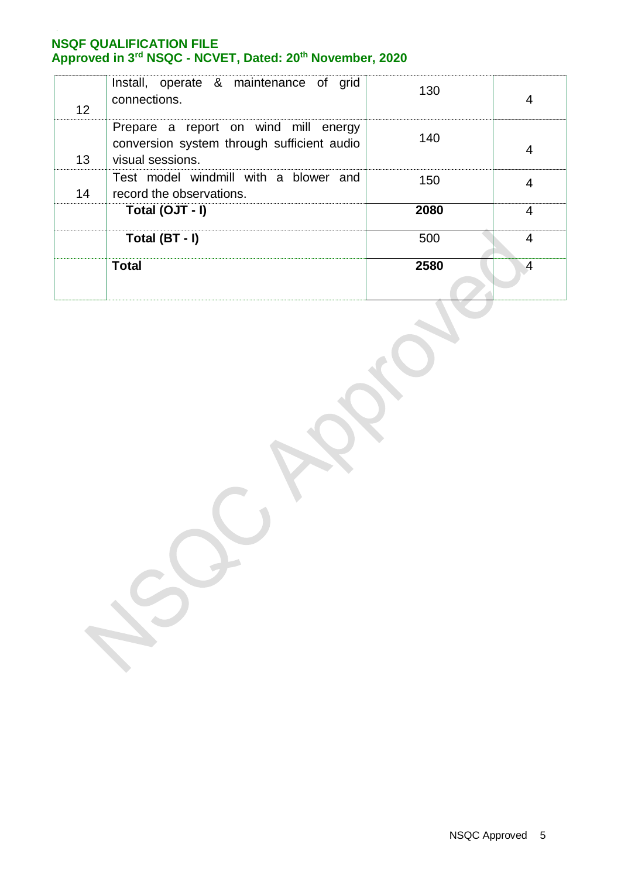| 12 | Install, operate & maintenance of grid<br>connections.                                                 | 130  | 4 |
|----|--------------------------------------------------------------------------------------------------------|------|---|
| 13 | Prepare a report on wind mill energy<br>conversion system through sufficient audio<br>visual sessions. | 140  | 4 |
| 14 | Test model windmill with a blower and<br>record the observations.                                      | 150  |   |
|    | Total (OJT - I)                                                                                        | 2080 | 4 |
|    | Total (BT - I)                                                                                         | 500  | 4 |
|    | <b>Total</b>                                                                                           | 2580 | 4 |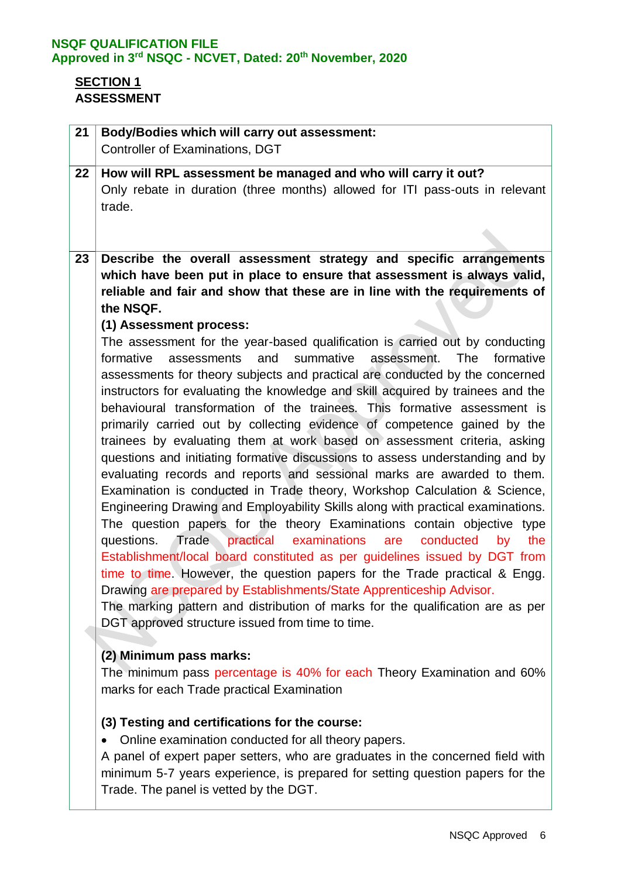# **SECTION 1 ASSESSMENT**

| 21 | <b>Body/Bodies which will carry out assessment:</b>                                                                                                                                                                                                                                                                                                                                                                                                                                                                                                                                                                                                                                                                                                                                                                                                                                                                                                                                                                                                                                                                                                                                                                                                                                                                                                                                                                                                                                                                                                                                                                                                                                                                                                                                                                                                                                                                                                                      |
|----|--------------------------------------------------------------------------------------------------------------------------------------------------------------------------------------------------------------------------------------------------------------------------------------------------------------------------------------------------------------------------------------------------------------------------------------------------------------------------------------------------------------------------------------------------------------------------------------------------------------------------------------------------------------------------------------------------------------------------------------------------------------------------------------------------------------------------------------------------------------------------------------------------------------------------------------------------------------------------------------------------------------------------------------------------------------------------------------------------------------------------------------------------------------------------------------------------------------------------------------------------------------------------------------------------------------------------------------------------------------------------------------------------------------------------------------------------------------------------------------------------------------------------------------------------------------------------------------------------------------------------------------------------------------------------------------------------------------------------------------------------------------------------------------------------------------------------------------------------------------------------------------------------------------------------------------------------------------------------|
|    | <b>Controller of Examinations, DGT</b>                                                                                                                                                                                                                                                                                                                                                                                                                                                                                                                                                                                                                                                                                                                                                                                                                                                                                                                                                                                                                                                                                                                                                                                                                                                                                                                                                                                                                                                                                                                                                                                                                                                                                                                                                                                                                                                                                                                                   |
| 22 | How will RPL assessment be managed and who will carry it out?<br>Only rebate in duration (three months) allowed for ITI pass-outs in relevant<br>trade.                                                                                                                                                                                                                                                                                                                                                                                                                                                                                                                                                                                                                                                                                                                                                                                                                                                                                                                                                                                                                                                                                                                                                                                                                                                                                                                                                                                                                                                                                                                                                                                                                                                                                                                                                                                                                  |
|    |                                                                                                                                                                                                                                                                                                                                                                                                                                                                                                                                                                                                                                                                                                                                                                                                                                                                                                                                                                                                                                                                                                                                                                                                                                                                                                                                                                                                                                                                                                                                                                                                                                                                                                                                                                                                                                                                                                                                                                          |
| 23 | Describe the overall assessment strategy and specific arrangements<br>which have been put in place to ensure that assessment is always valid,<br>reliable and fair and show that these are in line with the requirements of<br>the NSQF.<br>(1) Assessment process:<br>The assessment for the year-based qualification is carried out by conducting<br>and<br>summative<br>The<br>formative<br>formative<br>assessments<br>assessment.<br>assessments for theory subjects and practical are conducted by the concerned<br>instructors for evaluating the knowledge and skill acquired by trainees and the<br>behavioural transformation of the trainees. This formative assessment is<br>primarily carried out by collecting evidence of competence gained by the<br>trainees by evaluating them at work based on assessment criteria, asking<br>questions and initiating formative discussions to assess understanding and by<br>evaluating records and reports and sessional marks are awarded to them.<br>Examination is conducted in Trade theory, Workshop Calculation & Science,<br>Engineering Drawing and Employability Skills along with practical examinations.<br>The question papers for the theory Examinations contain objective type<br>Trade practical examinations<br>questions.<br>conducted<br>are<br>the<br>by<br>Establishment/local board constituted as per guidelines issued by DGT from<br>time to time. However, the question papers for the Trade practical & Engg.<br>Drawing are prepared by Establishments/State Apprenticeship Advisor.<br>The marking pattern and distribution of marks for the qualification are as per<br>DGT approved structure issued from time to time.<br>(2) Minimum pass marks:<br>The minimum pass percentage is 40% for each Theory Examination and 60%<br>marks for each Trade practical Examination<br>(3) Testing and certifications for the course:<br>Online examination conducted for all theory papers. |
|    | A panel of expert paper setters, who are graduates in the concerned field with<br>minimum 5-7 years experience, is prepared for setting question papers for the<br>Trade. The panel is vetted by the DGT.                                                                                                                                                                                                                                                                                                                                                                                                                                                                                                                                                                                                                                                                                                                                                                                                                                                                                                                                                                                                                                                                                                                                                                                                                                                                                                                                                                                                                                                                                                                                                                                                                                                                                                                                                                |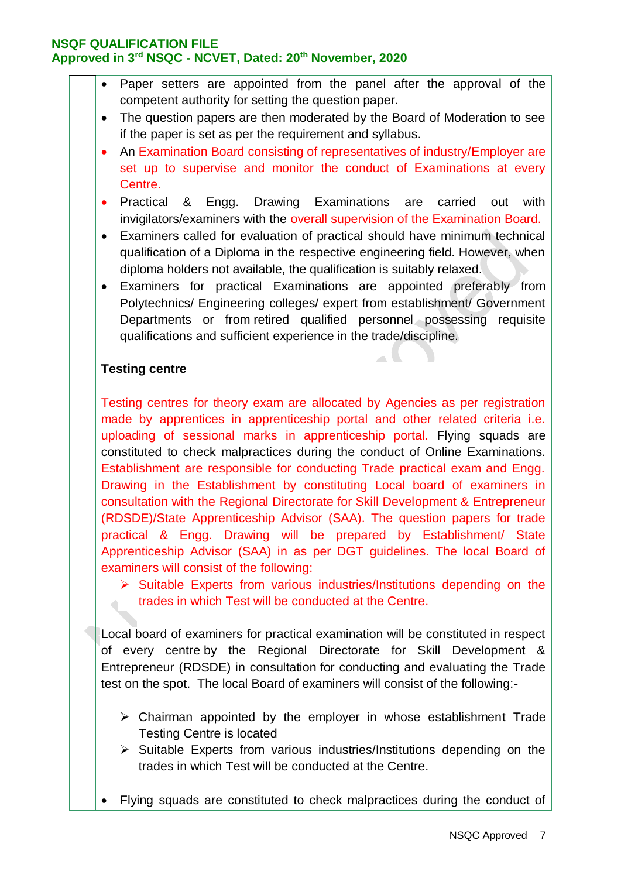- Paper setters are appointed from the panel after the approval of the competent authority for setting the question paper.
- The question papers are then moderated by the Board of Moderation to see if the paper is set as per the requirement and syllabus.
- An Examination Board consisting of representatives of industry/Employer are set up to supervise and monitor the conduct of Examinations at every Centre.
- Practical & Engg. Drawing Examinations are carried out with invigilators/examiners with the overall supervision of the Examination Board.
- Examiners called for evaluation of practical should have minimum technical qualification of a Diploma in the respective engineering field. However, when diploma holders not available, the qualification is suitably relaxed.
- Examiners for practical Examinations are appointed preferably from Polytechnics/ Engineering colleges/ expert from establishment/ Government Departments or from retired qualified personnel possessing requisite qualifications and sufficient experience in the trade/discipline.

 $\sim$  U

### **Testing centre**

 $\overline{\mathcal{L}}$ 

Testing centres for theory exam are allocated by Agencies as per registration made by apprentices in apprenticeship portal and other related criteria i.e. uploading of sessional marks in apprenticeship portal. Flying squads are constituted to check malpractices during the conduct of Online Examinations. Establishment are responsible for conducting Trade practical exam and Engg. Drawing in the Establishment by constituting Local board of examiners in consultation with the Regional Directorate for Skill Development & Entrepreneur (RDSDE)/State Apprenticeship Advisor (SAA). The question papers for trade practical & Engg. Drawing will be prepared by Establishment/ State Apprenticeship Advisor (SAA) in as per DGT guidelines. The local Board of examiners will consist of the following:

 $\triangleright$  Suitable Experts from various industries/Institutions depending on the trades in which Test will be conducted at the Centre.

Local board of examiners for practical examination will be constituted in respect of every centre by the Regional Directorate for Skill Development & Entrepreneur (RDSDE) in consultation for conducting and evaluating the Trade test on the spot. The local Board of examiners will consist of the following:-

- $\triangleright$  Chairman appointed by the employer in whose establishment Trade Testing Centre is located
- $\triangleright$  Suitable Experts from various industries/Institutions depending on the trades in which Test will be conducted at the Centre.
- Flying squads are constituted to check malpractices during the conduct of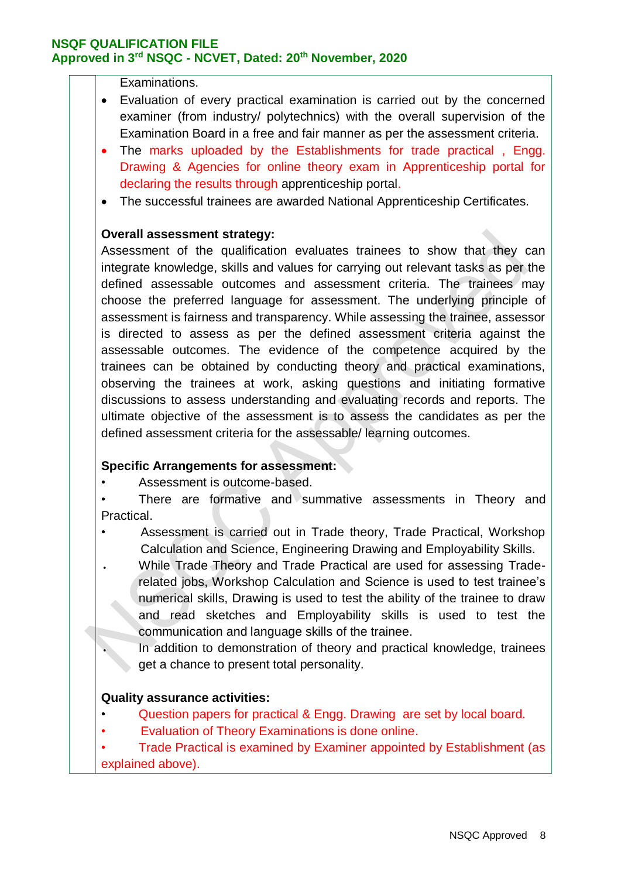Examinations.

- Evaluation of every practical examination is carried out by the concerned examiner (from industry/ polytechnics) with the overall supervision of the Examination Board in a free and fair manner as per the assessment criteria.
- The marks uploaded by the Establishments for trade practical, Engg. Drawing & Agencies for online theory exam in Apprenticeship portal for declaring the results through apprenticeship portal.
- The successful trainees are awarded National Apprenticeship Certificates.

#### **Overall assessment strategy:**

Assessment of the qualification evaluates trainees to show that they can integrate knowledge, skills and values for carrying out relevant tasks as per the defined assessable outcomes and assessment criteria. The trainees may choose the preferred language for assessment. The underlying principle of assessment is fairness and transparency. While assessing the trainee, assessor is directed to assess as per the defined assessment criteria against the assessable outcomes. The evidence of the competence acquired by the trainees can be obtained by conducting theory and practical examinations, observing the trainees at work, asking questions and initiating formative discussions to assess understanding and evaluating records and reports. The ultimate objective of the assessment is to assess the candidates as per the defined assessment criteria for the assessable/ learning outcomes.

#### **Specific Arrangements for assessment:**

- Assessment is outcome-based.
- There are formative and summative assessments in Theory and Practical.
- Assessment is carried out in Trade theory, Trade Practical, Workshop Calculation and Science, Engineering Drawing and Employability Skills.
- While Trade Theory and Trade Practical are used for assessing Traderelated jobs, Workshop Calculation and Science is used to test trainee's numerical skills, Drawing is used to test the ability of the trainee to draw and read sketches and Employability skills is used to test the communication and language skills of the trainee.
	- In addition to demonstration of theory and practical knowledge, trainees get a chance to present total personality.

#### **Quality assurance activities:**

- Question papers for practical & Engg. Drawing are set by local board.
- Evaluation of Theory Examinations is done online.

• Trade Practical is examined by Examiner appointed by Establishment (as explained above).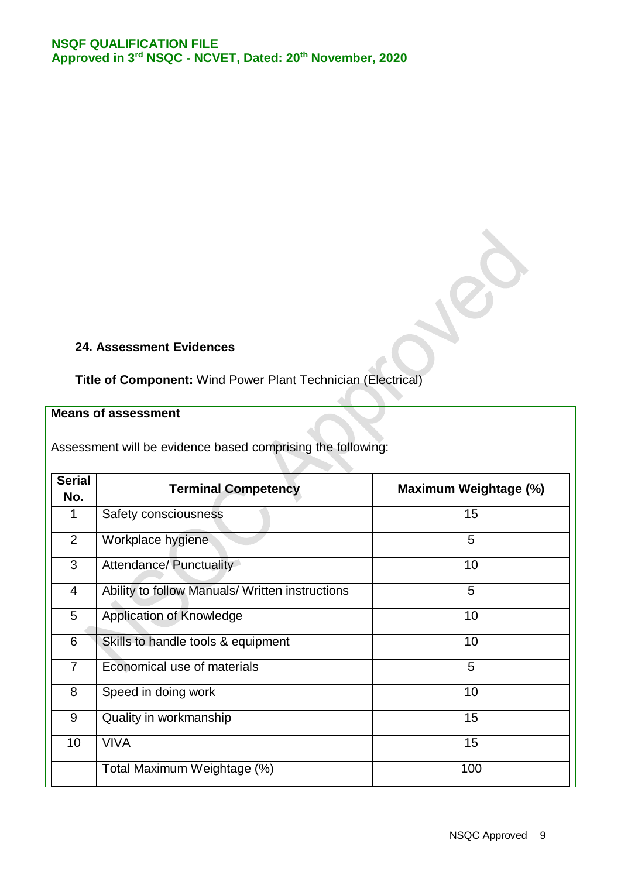#### **24. Assessment Evidences**

# **Title of Component:** Wind Power Plant Technician (Electrical)

## **Means of assessment**

| Assessment will be evidence based comprising the following: |  |  |  |
|-------------------------------------------------------------|--|--|--|
|                                                             |  |  |  |

| <b>Serial</b>  | <b>Terminal Competency</b>                      | Maximum Weightage (%) |
|----------------|-------------------------------------------------|-----------------------|
| No.            |                                                 |                       |
| 1              | Safety consciousness                            | 15                    |
| $\overline{2}$ | Workplace hygiene                               | 5                     |
| 3              | Attendance/ Punctuality                         | 10                    |
| $\overline{4}$ | Ability to follow Manuals/ Written instructions | 5                     |
| 5              | <b>Application of Knowledge</b>                 | 10                    |
| 6              | Skills to handle tools & equipment              | 10                    |
| $\overline{7}$ | Economical use of materials                     | 5                     |
| 8              | Speed in doing work                             | 10                    |
| 9              | Quality in workmanship                          | 15                    |
| 10             | <b>VIVA</b>                                     | 15                    |
|                | Total Maximum Weightage (%)                     | 100                   |

**CONTRACTOR**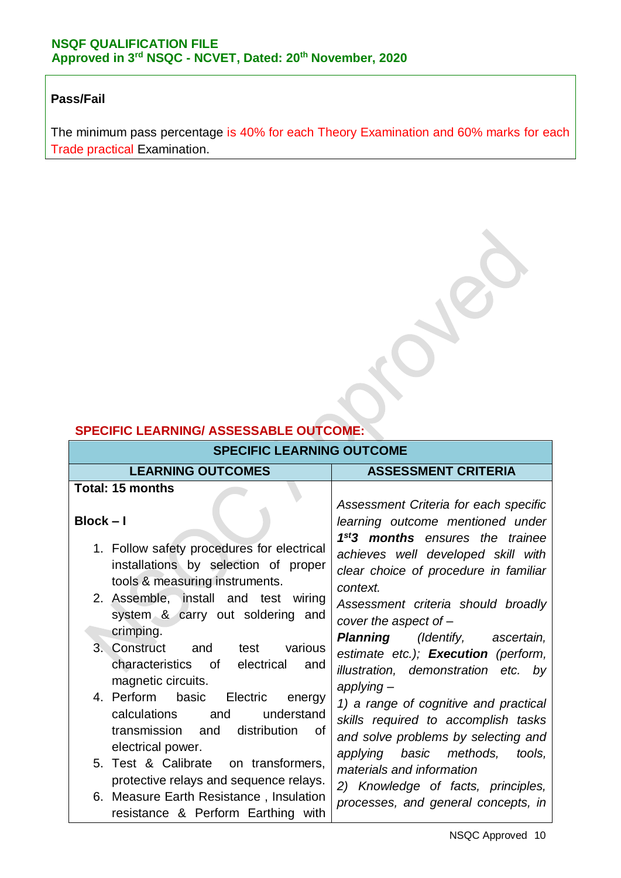## **Pass/Fail**

The minimum pass percentage is 40% for each Theory Examination and 60% marks for each Trade practical Examination.

# **SPECIFIC LEARNING/ ASSESSABLE OUTCOME:**

| <b>SPECIFIC LEARNING OUTCOME</b>                                                                                                                                                                                |                                                                                                                                                                                                                                              |  |  |  |
|-----------------------------------------------------------------------------------------------------------------------------------------------------------------------------------------------------------------|----------------------------------------------------------------------------------------------------------------------------------------------------------------------------------------------------------------------------------------------|--|--|--|
| <b>LEARNING OUTCOMES</b>                                                                                                                                                                                        | <b>ASSESSMENT CRITERIA</b>                                                                                                                                                                                                                   |  |  |  |
| <b>Total: 15 months</b>                                                                                                                                                                                         | Assessment Criteria for each specific                                                                                                                                                                                                        |  |  |  |
| $Block - I$<br>1. Follow safety procedures for electrical<br>installations by selection of proper<br>tools & measuring instruments.<br>2. Assemble, install and test wiring<br>system & carry out soldering and | learning outcome mentioned under<br>1 <sup>st</sup> 3 months ensures the trainee<br>achieves well developed skill with<br>clear choice of procedure in familiar<br>context.<br>Assessment criteria should broadly<br>cover the aspect of $-$ |  |  |  |
| crimping.<br>3. Construct and<br>various<br>test<br>characteristics of electrical<br>and<br>magnetic circuits.                                                                                                  | <b>Planning</b> (Identify, ascertain,<br>estimate etc.); Execution (perform,<br>illustration, demonstration etc. by<br>$applying -$                                                                                                          |  |  |  |
| 4. Perform basic<br>Electric<br>energy<br>understand<br>calculations<br>and<br>transmission and<br>distribution<br>⊟ ∩f<br>electrical power.                                                                    | 1) a range of cognitive and practical<br>skills required to accomplish tasks<br>and solve problems by selecting and<br>applying basic methods, tools,                                                                                        |  |  |  |
| 5. Test & Calibrate on transformers,<br>protective relays and sequence relays.<br>6. Measure Earth Resistance, Insulation<br>resistance & Perform Earthing with                                                 | materials and information<br>2) Knowledge of facts, principles,<br>processes, and general concepts, in                                                                                                                                       |  |  |  |

BUSIC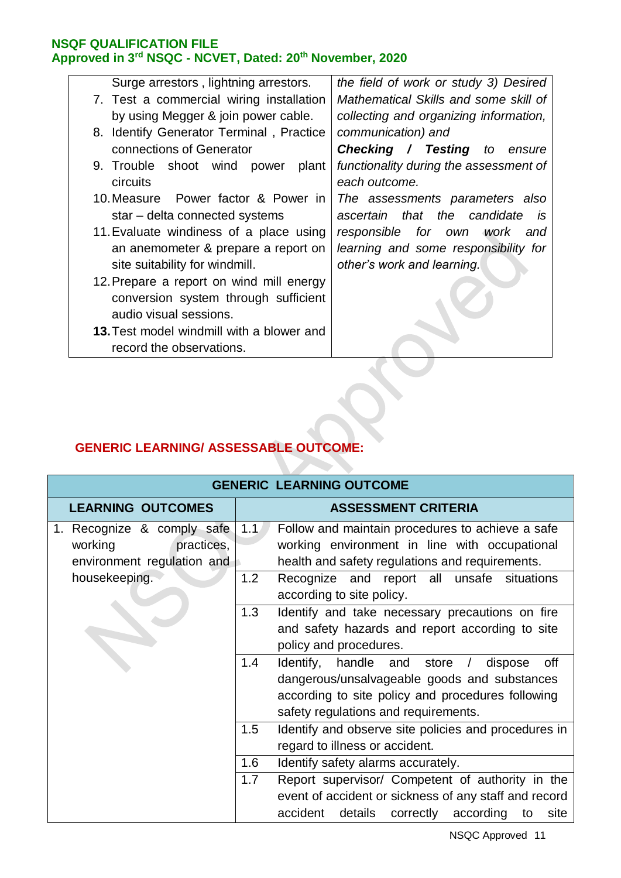| Surge arrestors, lightning arrestors.     | the field of work or study 3) Desired  |
|-------------------------------------------|----------------------------------------|
| 7. Test a commercial wiring installation  | Mathematical Skills and some skill of  |
| by using Megger & join power cable.       | collecting and organizing information, |
| 8. Identify Generator Terminal, Practice  | communication) and                     |
| connections of Generator                  | <b>Checking / Testing to</b><br>ensure |
| 9. Trouble shoot wind power<br>plant      | functionality during the assessment of |
| <b>circuits</b>                           | each outcome.                          |
| 10. Measure Power factor & Power in       | The assessments parameters also        |
| star - delta connected systems            | ascertain that the candidate<br>is     |
| 11. Evaluate windiness of a place using   | responsible for own work<br>and        |
| an anemometer & prepare a report on       | learning and some responsibility for   |
| site suitability for windmill.            | other's work and learning.             |
| 12. Prepare a report on wind mill energy  |                                        |
| conversion system through sufficient      |                                        |
| audio visual sessions.                    |                                        |
| 13. Test model windmill with a blower and |                                        |

# **GENERIC LEARNING/ ASSESSABLE OUTCOME:**

record the observations.

|                                                                                   |     | <b>GENERIC LEARNING OUTCOME</b>                                                                                                                                                          |
|-----------------------------------------------------------------------------------|-----|------------------------------------------------------------------------------------------------------------------------------------------------------------------------------------------|
| <b>LEARNING OUTCOMES</b>                                                          |     | <b>ASSESSMENT CRITERIA</b>                                                                                                                                                               |
| 1. Recognize & comply safe<br>working<br>practices,<br>environment regulation and | 1.1 | Follow and maintain procedures to achieve a safe<br>working environment in line with occupational<br>health and safety regulations and requirements.                                     |
| housekeeping.                                                                     | 1.2 | Recognize and report all unsafe situations<br>according to site policy.                                                                                                                  |
|                                                                                   | 1.3 | Identify and take necessary precautions on fire<br>and safety hazards and report according to site<br>policy and procedures.                                                             |
|                                                                                   | 1.4 | Identify, handle and store / dispose<br>off<br>dangerous/unsalvageable goods and substances<br>according to site policy and procedures following<br>safety regulations and requirements. |
|                                                                                   | 1.5 | Identify and observe site policies and procedures in<br>regard to illness or accident.                                                                                                   |
|                                                                                   | 1.6 | Identify safety alarms accurately.                                                                                                                                                       |
|                                                                                   | 1.7 | Report supervisor/ Competent of authority in the<br>event of accident or sickness of any staff and record<br>accident details correctly according<br>site<br>to                          |

 $\rightarrow$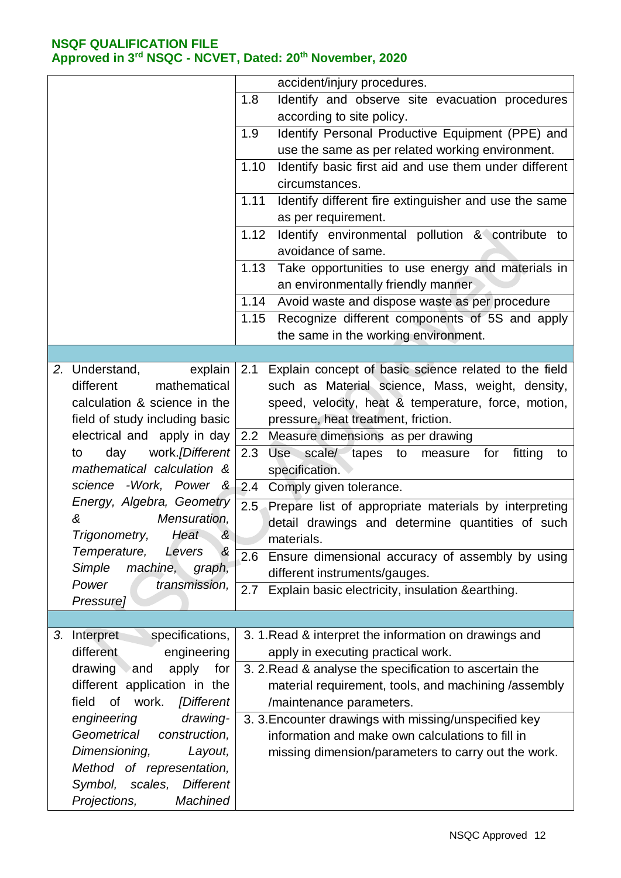|                                                                                    | accident/injury procedures.                                                    |
|------------------------------------------------------------------------------------|--------------------------------------------------------------------------------|
|                                                                                    | 1.8<br>Identify and observe site evacuation procedures                         |
|                                                                                    | according to site policy.                                                      |
|                                                                                    | Identify Personal Productive Equipment (PPE) and<br>1.9                        |
|                                                                                    | use the same as per related working environment.                               |
|                                                                                    | Identify basic first aid and use them under different<br>1.10                  |
|                                                                                    | circumstances.                                                                 |
|                                                                                    | Identify different fire extinguisher and use the same<br>1.11                  |
|                                                                                    | as per requirement.                                                            |
|                                                                                    | 1.12<br>Identify environmental pollution & contribute to                       |
|                                                                                    | avoidance of same.                                                             |
|                                                                                    | 1.13<br>Take opportunities to use energy and materials in                      |
|                                                                                    | an environmentally friendly manner                                             |
|                                                                                    | Avoid waste and dispose waste as per procedure<br>1.14                         |
|                                                                                    | Recognize different components of 5S and apply<br>1.15                         |
|                                                                                    | the same in the working environment.                                           |
|                                                                                    |                                                                                |
| 2. Understand,<br>explain                                                          | Explain concept of basic science related to the field<br>2.1                   |
| different<br>mathematical                                                          | such as Material science, Mass, weight, density,                               |
| calculation & science in the                                                       | speed, velocity, heat & temperature, force, motion,                            |
| field of study including basic                                                     | pressure, heat treatment, friction.                                            |
|                                                                                    |                                                                                |
| electrical and apply in day                                                        | Measure dimensions as per drawing<br>2.2                                       |
| day<br>work. <i>[Different</i> ]<br>to<br>mathematical calculation &               | 2.3<br>Use scale tapes to<br>fitting<br>for<br>measure<br>to<br>specification. |
| science -Work, Power &                                                             | 2.4<br>Comply given tolerance.                                                 |
| Energy, Algebra, Geometry                                                          |                                                                                |
| Mensuration,<br>&                                                                  | 2.5<br>Prepare list of appropriate materials by interpreting                   |
|                                                                                    | detail drawings and determine quantities of such                               |
| Trigonometry,<br>Heat<br>&                                                         | materials.                                                                     |
| Temperature,<br>&<br>Levers                                                        | 2.6<br>Ensure dimensional accuracy of assembly by using                        |
| Simple<br>machine,<br>graph,                                                       | different instruments/gauges.                                                  |
| Power<br>transmission,                                                             | Explain basic electricity, insulation &earthing.<br>2.7                        |
| Pressure]                                                                          |                                                                                |
|                                                                                    |                                                                                |
| specifications,<br>Interpret<br>3.                                                 | 3. 1. Read & interpret the information on drawings and                         |
| different<br>engineering                                                           | apply in executing practical work.                                             |
| drawing and<br>apply<br>for                                                        | 3. 2. Read & analyse the specification to ascertain the                        |
| different application in the                                                       | material requirement, tools, and machining /assembly                           |
| of work. <i>[Different</i><br>field                                                | /maintenance parameters.                                                       |
| engineering<br>drawing-                                                            | 3. 3. Encounter drawings with missing/unspecified key                          |
| Geometrical<br>construction,                                                       | information and make own calculations to fill in                               |
| Dimensioning,<br>Layout,                                                           |                                                                                |
|                                                                                    |                                                                                |
|                                                                                    |                                                                                |
|                                                                                    |                                                                                |
| Method of representation,<br>Symbol, scales, Different<br>Projections,<br>Machined | missing dimension/parameters to carry out the work.                            |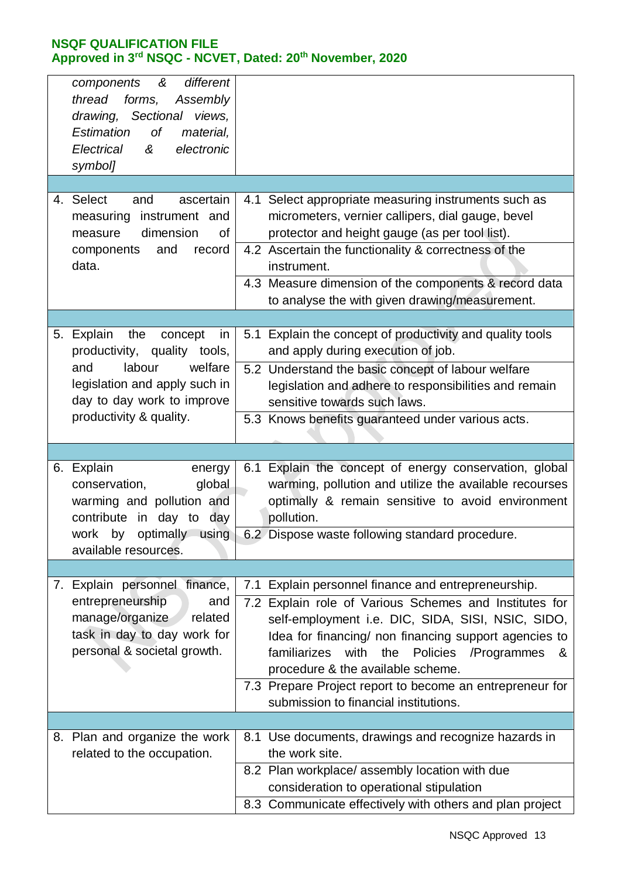| different<br>components<br>&<br>thread<br>forms,<br>Assembly<br>drawing, Sectional views,<br>0f<br>Estimation<br>material,<br>electronic<br>Electrical<br>&<br>symbol] |                                                                                                                                                                                                                                                                                                                                      |
|------------------------------------------------------------------------------------------------------------------------------------------------------------------------|--------------------------------------------------------------------------------------------------------------------------------------------------------------------------------------------------------------------------------------------------------------------------------------------------------------------------------------|
|                                                                                                                                                                        |                                                                                                                                                                                                                                                                                                                                      |
| 4. Select<br>ascertain<br>and<br>measuring instrument and<br>dimension<br>0f<br>measure<br>and<br>components<br>record<br>data.                                        | 4.1 Select appropriate measuring instruments such as<br>micrometers, vernier callipers, dial gauge, bevel<br>protector and height gauge (as per tool list).<br>4.2 Ascertain the functionality & correctness of the<br>instrument.<br>4.3 Measure dimension of the components & record data                                          |
|                                                                                                                                                                        | to analyse the with given drawing/measurement.                                                                                                                                                                                                                                                                                       |
|                                                                                                                                                                        |                                                                                                                                                                                                                                                                                                                                      |
| Explain<br>the<br>concept<br>5.<br>in<br>productivity, quality tools,                                                                                                  | 5.1 Explain the concept of productivity and quality tools<br>and apply during execution of job.                                                                                                                                                                                                                                      |
| labour<br>welfare<br>and<br>legislation and apply such in<br>day to day work to improve                                                                                | 5.2 Understand the basic concept of labour welfare<br>legislation and adhere to responsibilities and remain<br>sensitive towards such laws.                                                                                                                                                                                          |
| productivity & quality.                                                                                                                                                | 5.3 Knows benefits guaranteed under various acts.                                                                                                                                                                                                                                                                                    |
|                                                                                                                                                                        |                                                                                                                                                                                                                                                                                                                                      |
| 6. Explain<br>energy<br>conservation,<br>global<br>warming and pollution and<br>contribute in day to day                                                               | 6.1 Explain the concept of energy conservation, global<br>warming, pollution and utilize the available recourses<br>optimally & remain sensitive to avoid environment<br>pollution.                                                                                                                                                  |
| work<br>by<br>optimally using<br>available resources.                                                                                                                  | 6.2 Dispose waste following standard procedure.                                                                                                                                                                                                                                                                                      |
|                                                                                                                                                                        |                                                                                                                                                                                                                                                                                                                                      |
| 7. Explain personnel finance,                                                                                                                                          | 7.1 Explain personnel finance and entrepreneurship.                                                                                                                                                                                                                                                                                  |
| entrepreneurship<br>and                                                                                                                                                |                                                                                                                                                                                                                                                                                                                                      |
| manage/organize<br>related<br>task in day to day work for<br>personal & societal growth.                                                                               | 7.2 Explain role of Various Schemes and Institutes for<br>self-employment i.e. DIC, SIDA, SISI, NSIC, SIDO,<br>Idea for financing/ non financing support agencies to<br>familiarizes<br>with<br>the<br>Policies<br>/Programmes<br>&<br>procedure & the available scheme.<br>7.3 Prepare Project report to become an entrepreneur for |
|                                                                                                                                                                        | submission to financial institutions.                                                                                                                                                                                                                                                                                                |
|                                                                                                                                                                        |                                                                                                                                                                                                                                                                                                                                      |
| 8. Plan and organize the work<br>related to the occupation.                                                                                                            | 8.1 Use documents, drawings and recognize hazards in<br>the work site.                                                                                                                                                                                                                                                               |
|                                                                                                                                                                        | 8.2 Plan workplace/ assembly location with due<br>consideration to operational stipulation                                                                                                                                                                                                                                           |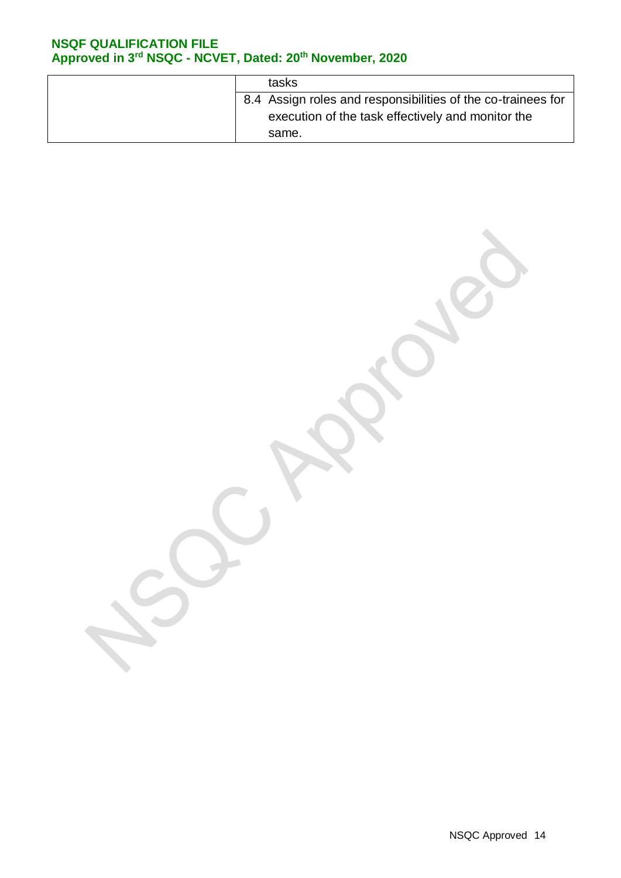| tasks                                                        |
|--------------------------------------------------------------|
| 8.4 Assign roles and responsibilities of the co-trainees for |
| execution of the task effectively and monitor the            |
| same.                                                        |

NSQC Approved 14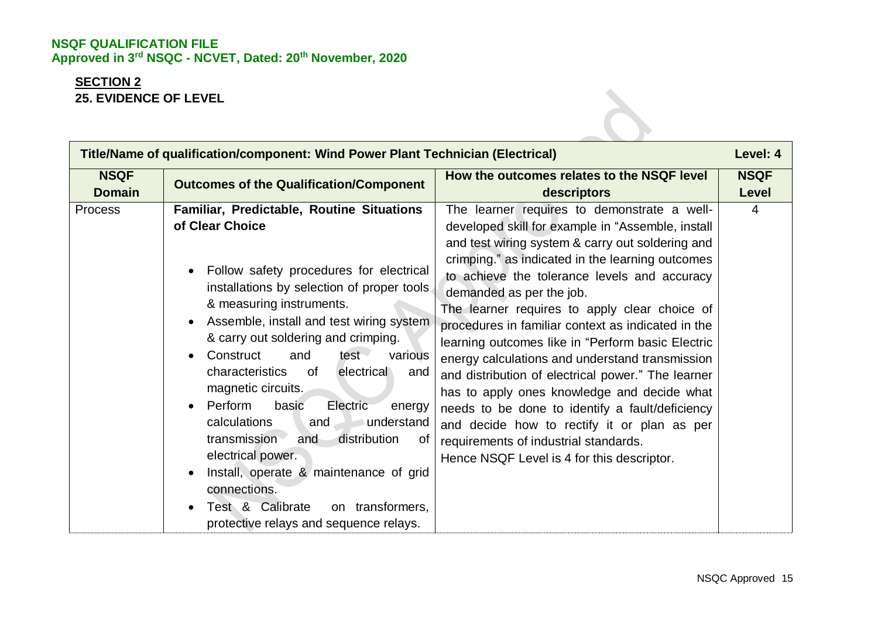# **SECTION 2 25. EVIDENCE OF LEVEL**

| Title/Name of qualification/component: Wind Power Plant Technician (Electrical) |                                                                                                                                                                                                                                                                                                                                                                                                                                                                                                                                                                                                                                                                                                                                                  |                                                                                                                                                                                                                                                                                                                                                                                                                                                                                                                                                                                                                                                                                                                                                                                                   | Level: 4             |
|---------------------------------------------------------------------------------|--------------------------------------------------------------------------------------------------------------------------------------------------------------------------------------------------------------------------------------------------------------------------------------------------------------------------------------------------------------------------------------------------------------------------------------------------------------------------------------------------------------------------------------------------------------------------------------------------------------------------------------------------------------------------------------------------------------------------------------------------|---------------------------------------------------------------------------------------------------------------------------------------------------------------------------------------------------------------------------------------------------------------------------------------------------------------------------------------------------------------------------------------------------------------------------------------------------------------------------------------------------------------------------------------------------------------------------------------------------------------------------------------------------------------------------------------------------------------------------------------------------------------------------------------------------|----------------------|
| <b>NSQF</b><br><b>Domain</b>                                                    | <b>Outcomes of the Qualification/Component</b>                                                                                                                                                                                                                                                                                                                                                                                                                                                                                                                                                                                                                                                                                                   | How the outcomes relates to the NSQF level<br>descriptors                                                                                                                                                                                                                                                                                                                                                                                                                                                                                                                                                                                                                                                                                                                                         | <b>NSQF</b><br>Level |
| <b>Process</b>                                                                  | Familiar, Predictable, Routine Situations<br>of Clear Choice<br>Follow safety procedures for electrical<br>$\bullet$<br>installations by selection of proper tools.<br>& measuring instruments.<br>Assemble, install and test wiring system<br>$\bullet$<br>& carry out soldering and crimping.<br>Construct<br>and<br>test -<br>various<br>$\bullet$<br>characteristics<br>of<br>electrical<br>and<br>magnetic circuits.<br>Perform<br>basic<br>Electric<br>energy<br>$\bullet$<br>calculations<br>understand<br>and<br>distribution<br>transmission<br>and<br>0f<br>electrical power.<br>Install, operate & maintenance of grid<br>connections.<br>Test & Calibrate<br>on transformers,<br>$\bullet$<br>protective relays and sequence relays. | The learner requires to demonstrate a well-<br>developed skill for example in "Assemble, install<br>and test wiring system & carry out soldering and<br>crimping." as indicated in the learning outcomes<br>to achieve the tolerance levels and accuracy<br>demanded as per the job.<br>The learner requires to apply clear choice of<br>procedures in familiar context as indicated in the<br>learning outcomes like in "Perform basic Electric<br>energy calculations and understand transmission<br>and distribution of electrical power." The learner<br>has to apply ones knowledge and decide what<br>needs to be done to identify a fault/deficiency<br>and decide how to rectify it or plan as per<br>requirements of industrial standards.<br>Hence NSQF Level is 4 for this descriptor. | $\overline{4}$       |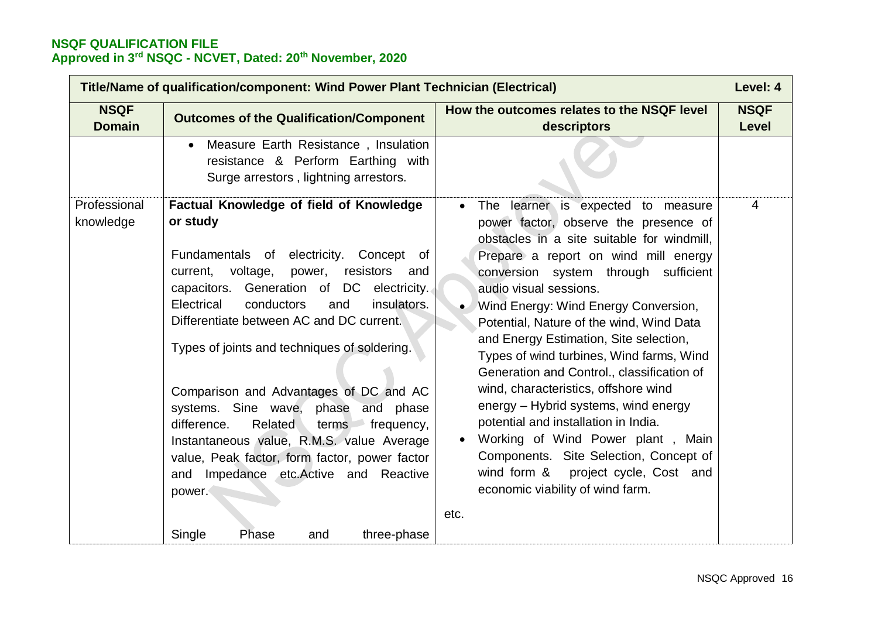| Title/Name of qualification/component: Wind Power Plant Technician (Electrical) |                                                                                                                                                                                                                                                                                                                                                                                                                                                                                                                                                                                                                                         |                                                                                                                                                                                                                                                                                                                                                                                                                                                                                                                                                                                                                                                                                                                                           | Level: 4             |
|---------------------------------------------------------------------------------|-----------------------------------------------------------------------------------------------------------------------------------------------------------------------------------------------------------------------------------------------------------------------------------------------------------------------------------------------------------------------------------------------------------------------------------------------------------------------------------------------------------------------------------------------------------------------------------------------------------------------------------------|-------------------------------------------------------------------------------------------------------------------------------------------------------------------------------------------------------------------------------------------------------------------------------------------------------------------------------------------------------------------------------------------------------------------------------------------------------------------------------------------------------------------------------------------------------------------------------------------------------------------------------------------------------------------------------------------------------------------------------------------|----------------------|
| <b>NSQF</b><br><b>Domain</b>                                                    | <b>Outcomes of the Qualification/Component</b>                                                                                                                                                                                                                                                                                                                                                                                                                                                                                                                                                                                          | How the outcomes relates to the NSQF level<br>descriptors                                                                                                                                                                                                                                                                                                                                                                                                                                                                                                                                                                                                                                                                                 | <b>NSQF</b><br>Level |
| Professional                                                                    | Measure Earth Resistance, Insulation<br>resistance & Perform Earthing with<br>Surge arrestors, lightning arrestors.<br>Factual Knowledge of field of Knowledge                                                                                                                                                                                                                                                                                                                                                                                                                                                                          | The learner is expected to measure<br>$\bullet$                                                                                                                                                                                                                                                                                                                                                                                                                                                                                                                                                                                                                                                                                           | 4                    |
| knowledge                                                                       | or study<br>Fundamentals of electricity.<br>Concept<br>of<br>voltage,<br>resistors<br>current,<br>power,<br>and<br>capacitors. Generation of DC electricity.<br>Electrical<br>conductors<br>insulators.<br>and<br>Differentiate between AC and DC current.<br>Types of joints and techniques of soldering.<br>Comparison and Advantages of DC and AC<br>systems. Sine wave, phase and phase<br>difference.<br>Related<br>terms<br>frequency,<br>Instantaneous value, R.M.S. value Average<br>value, Peak factor, form factor, power factor<br>and Impedance etc. Active and Reactive<br>power.<br>Single<br>Phase<br>three-phase<br>and | power factor, observe the presence of<br>obstacles in a site suitable for windmill,<br>Prepare a report on wind mill energy<br>conversion system through sufficient<br>audio visual sessions.<br>Wind Energy: Wind Energy Conversion,<br>$\bullet$<br>Potential, Nature of the wind, Wind Data<br>and Energy Estimation, Site selection,<br>Types of wind turbines, Wind farms, Wind<br>Generation and Control., classification of<br>wind, characteristics, offshore wind<br>energy - Hybrid systems, wind energy<br>potential and installation in India.<br>Working of Wind Power plant, Main<br>$\bullet$<br>Components. Site Selection, Concept of<br>wind form & project cycle, Cost and<br>economic viability of wind farm.<br>etc. |                      |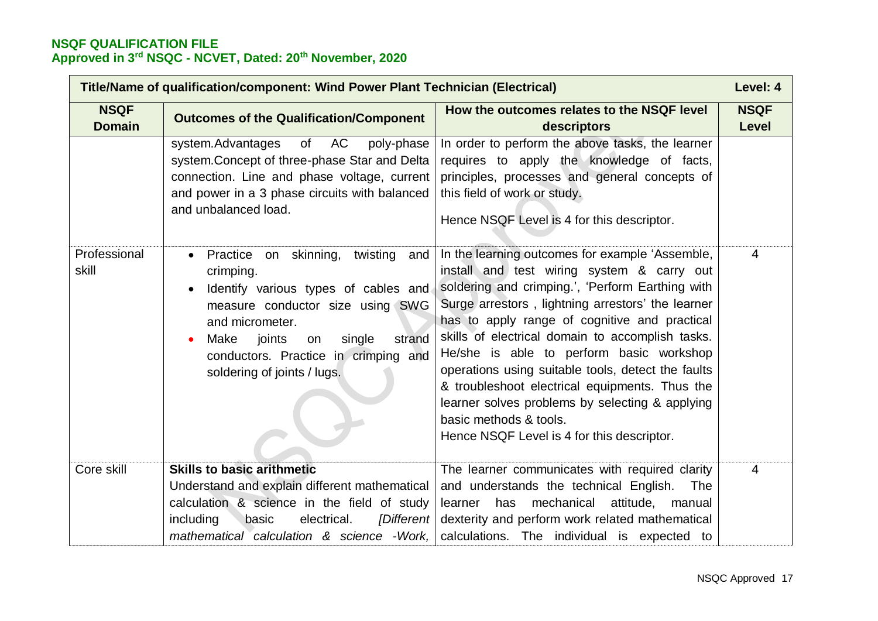| Title/Name of qualification/component: Wind Power Plant Technician (Electrical) |                                                                                                                                                                                                                                                                                      |                                                                                                                                                                                                                                                                                                                                                                                                                                                                                                                                                                                            | Level: 4             |
|---------------------------------------------------------------------------------|--------------------------------------------------------------------------------------------------------------------------------------------------------------------------------------------------------------------------------------------------------------------------------------|--------------------------------------------------------------------------------------------------------------------------------------------------------------------------------------------------------------------------------------------------------------------------------------------------------------------------------------------------------------------------------------------------------------------------------------------------------------------------------------------------------------------------------------------------------------------------------------------|----------------------|
| <b>NSQF</b><br><b>Domain</b>                                                    | <b>Outcomes of the Qualification/Component</b>                                                                                                                                                                                                                                       | How the outcomes relates to the NSQF level<br>descriptors                                                                                                                                                                                                                                                                                                                                                                                                                                                                                                                                  | <b>NSQF</b><br>Level |
|                                                                                 | of AC<br>system.Advantages<br>poly-phase<br>system. Concept of three-phase Star and Delta<br>connection. Line and phase voltage, current<br>and power in a 3 phase circuits with balanced<br>and unbalanced load.                                                                    | In order to perform the above tasks, the learner<br>requires to apply the knowledge of facts,<br>principles, processes and general concepts of<br>this field of work or study.<br>Hence NSQF Level is 4 for this descriptor.                                                                                                                                                                                                                                                                                                                                                               |                      |
| Professional<br>skill                                                           | Practice on skinning,<br>twisting<br>and<br>$\bullet$<br>crimping.<br>Identify various types of cables and<br>measure conductor size using SWG<br>and micrometer.<br>Make<br>joints<br>single<br>strand<br>on<br>conductors. Practice in crimping and<br>soldering of joints / lugs. | In the learning outcomes for example 'Assemble,<br>install and test wiring system & carry out<br>soldering and crimping.', 'Perform Earthing with<br>Surge arrestors, lightning arrestors' the learner<br>has to apply range of cognitive and practical<br>skills of electrical domain to accomplish tasks.<br>He/she is able to perform basic workshop<br>operations using suitable tools, detect the faults<br>& troubleshoot electrical equipments. Thus the<br>learner solves problems by selecting & applying<br>basic methods & tools.<br>Hence NSQF Level is 4 for this descriptor. | $\overline{4}$       |
| Core skill                                                                      | <b>Skills to basic arithmetic</b><br>Understand and explain different mathematical                                                                                                                                                                                                   | The learner communicates with required clarity<br>and understands the technical English.<br>The                                                                                                                                                                                                                                                                                                                                                                                                                                                                                            | 4                    |
|                                                                                 | calculation & science in the field of study<br>including<br>electrical.<br>[Different]<br>basic<br>mathematical calculation & science - Work,                                                                                                                                        | learner has<br>mechanical<br>attitude,<br>manual<br>dexterity and perform work related mathematical<br>calculations. The individual is expected to                                                                                                                                                                                                                                                                                                                                                                                                                                         |                      |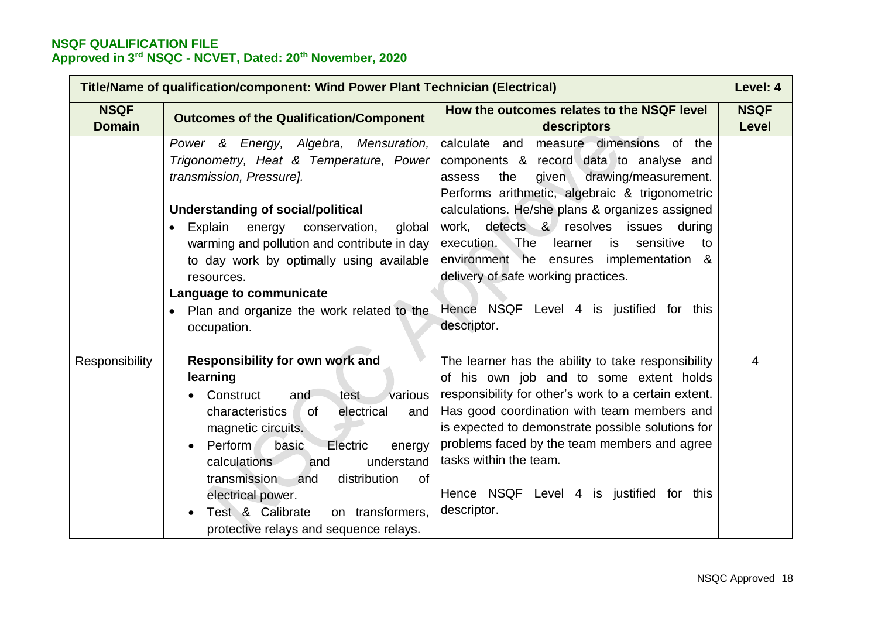| Title/Name of qualification/component: Wind Power Plant Technician (Electrical) |                                                                                                                                                                                                                                                                                                                                                                                                               |                                                                                                                                                                                                                                                                                                                                                                                                | Level: 4             |
|---------------------------------------------------------------------------------|---------------------------------------------------------------------------------------------------------------------------------------------------------------------------------------------------------------------------------------------------------------------------------------------------------------------------------------------------------------------------------------------------------------|------------------------------------------------------------------------------------------------------------------------------------------------------------------------------------------------------------------------------------------------------------------------------------------------------------------------------------------------------------------------------------------------|----------------------|
| <b>NSQF</b><br><b>Domain</b>                                                    | <b>Outcomes of the Qualification/Component</b>                                                                                                                                                                                                                                                                                                                                                                | How the outcomes relates to the NSQF level<br>descriptors                                                                                                                                                                                                                                                                                                                                      | <b>NSQF</b><br>Level |
|                                                                                 | Power & Energy, Algebra, Mensuration,<br>Trigonometry, Heat & Temperature, Power<br>transmission, Pressure].<br><b>Understanding of social/political</b><br>Explain<br>energy<br>conservation,<br>global<br>$\bullet$                                                                                                                                                                                         | calculate and<br>measure dimensions of the<br>components & record data to analyse and<br>drawing/measurement.<br>the<br>given<br>assess<br>Performs arithmetic, algebraic & trigonometric<br>calculations. He/she plans & organizes assigned<br>work, detects & resolves<br>issues<br>during                                                                                                   |                      |
|                                                                                 | warming and pollution and contribute in day<br>to day work by optimally using available<br>resources.<br>Language to communicate<br>Plan and organize the work related to the<br>occupation.                                                                                                                                                                                                                  | The<br>learner<br>sensitive<br>execution.<br>is<br>to<br>environment he ensures<br>implementation &<br>delivery of safe working practices.<br>Hence NSQF Level 4 is justified for this<br>descriptor.                                                                                                                                                                                          |                      |
| Responsibility                                                                  | <b>Responsibility for own work and</b><br>learning<br>various<br>Construct<br>and<br>test<br>electrical<br>characteristics<br>0f<br>and<br>magnetic circuits.<br>basic<br>Perform<br>Electric<br>energy<br>$\bullet$<br>calculations<br>understand<br>and<br>distribution<br>of<br>transmission<br>and<br>electrical power.<br>Test & Calibrate<br>on transformers,<br>protective relays and sequence relays. | The learner has the ability to take responsibility<br>of his own job and to some extent holds<br>responsibility for other's work to a certain extent.<br>Has good coordination with team members and<br>is expected to demonstrate possible solutions for<br>problems faced by the team members and agree<br>tasks within the team.<br>Hence NSQF Level 4 is justified for this<br>descriptor. | $\overline{4}$       |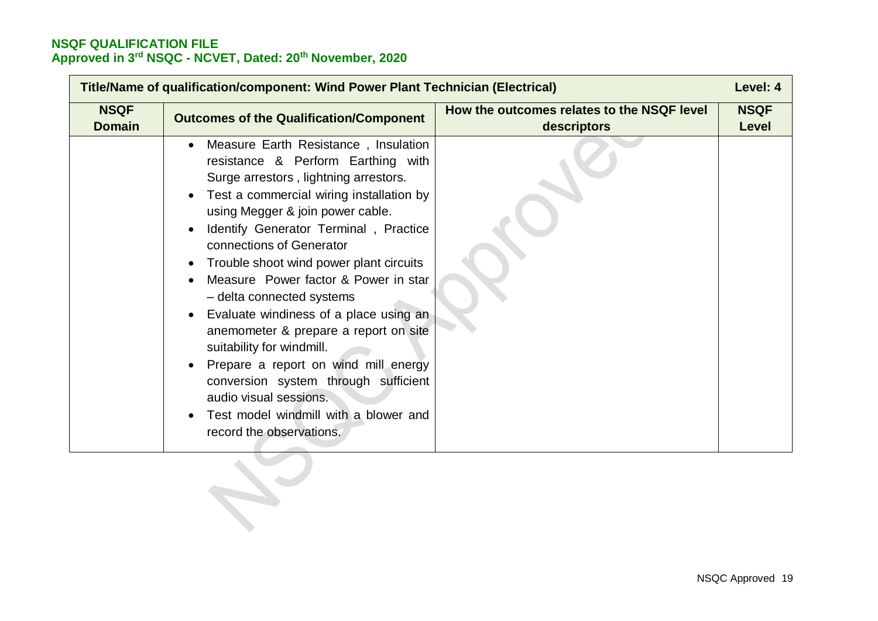|                              | Title/Name of qualification/component: Wind Power Plant Technician (Electrical)                                                                                                                                                                                                                                                                                                                                                                                                                                                                                                                                                                                                         |                                                           | Level: 4             |
|------------------------------|-----------------------------------------------------------------------------------------------------------------------------------------------------------------------------------------------------------------------------------------------------------------------------------------------------------------------------------------------------------------------------------------------------------------------------------------------------------------------------------------------------------------------------------------------------------------------------------------------------------------------------------------------------------------------------------------|-----------------------------------------------------------|----------------------|
| <b>NSQF</b><br><b>Domain</b> | <b>Outcomes of the Qualification/Component</b>                                                                                                                                                                                                                                                                                                                                                                                                                                                                                                                                                                                                                                          | How the outcomes relates to the NSQF level<br>descriptors | <b>NSQF</b><br>Level |
|                              | Measure Earth Resistance, Insulation<br>resistance & Perform Earthing with<br>Surge arrestors, lightning arrestors.<br>Test a commercial wiring installation by<br>using Megger & join power cable.<br>Identify Generator Terminal, Practice<br>connections of Generator<br>Trouble shoot wind power plant circuits<br>Measure Power factor & Power in star<br>- delta connected systems<br>Evaluate windiness of a place using an<br>anemometer & prepare a report on site<br>suitability for windmill.<br>Prepare a report on wind mill energy<br>conversion system through sufficient<br>audio visual sessions.<br>Test model windmill with a blower and<br>record the observations. |                                                           |                      |
|                              |                                                                                                                                                                                                                                                                                                                                                                                                                                                                                                                                                                                                                                                                                         |                                                           |                      |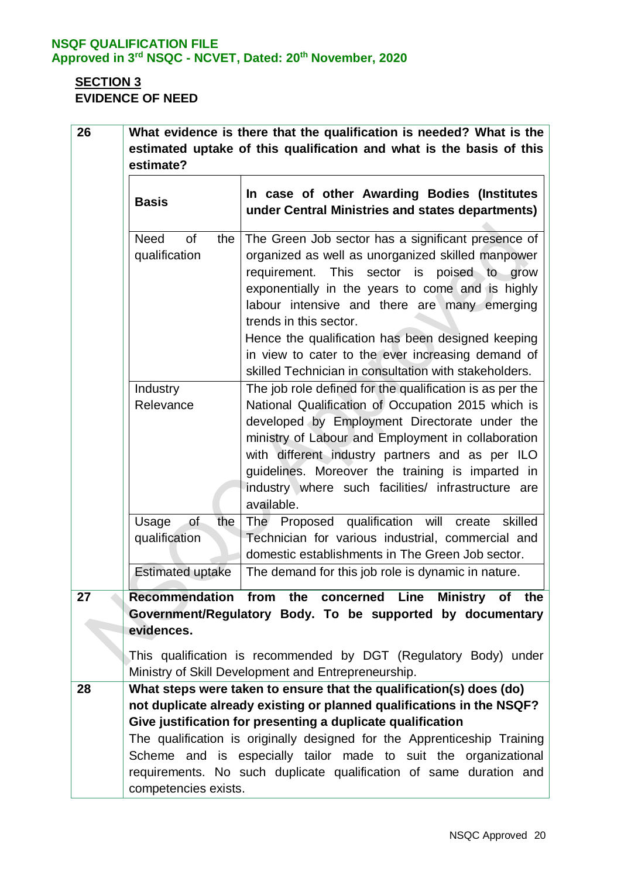# **SECTION 3 EVIDENCE OF NEED**

| 26 |                                                                      | What evidence is there that the qualification is needed? What is the                                                                                                                                                                                                                                                                                                                                                                                      |
|----|----------------------------------------------------------------------|-----------------------------------------------------------------------------------------------------------------------------------------------------------------------------------------------------------------------------------------------------------------------------------------------------------------------------------------------------------------------------------------------------------------------------------------------------------|
|    | estimated uptake of this qualification and what is the basis of this |                                                                                                                                                                                                                                                                                                                                                                                                                                                           |
|    | estimate?                                                            |                                                                                                                                                                                                                                                                                                                                                                                                                                                           |
|    | <b>Basis</b>                                                         | In case of other Awarding Bodies (Institutes<br>under Central Ministries and states departments)                                                                                                                                                                                                                                                                                                                                                          |
|    | <b>of</b><br><b>Need</b><br>the<br>qualification                     | The Green Job sector has a significant presence of<br>organized as well as unorganized skilled manpower<br>requirement. This sector is poised to<br>grow<br>exponentially in the years to come and is highly<br>labour intensive and there are many emerging<br>trends in this sector.<br>Hence the qualification has been designed keeping<br>in view to cater to the ever increasing demand of<br>skilled Technician in consultation with stakeholders. |
|    | Industry<br>Relevance                                                | The job role defined for the qualification is as per the<br>National Qualification of Occupation 2015 which is<br>developed by Employment Directorate under the<br>ministry of Labour and Employment in collaboration<br>with different industry partners and as per ILO<br>guidelines. Moreover the training is imparted in<br>industry where such facilities/ infrastructure are<br>available.                                                          |
|    | of<br>Usage<br>the<br>qualification<br><b>Estimated uptake</b>       | The Proposed qualification will create<br>skilled<br>Technician for various industrial, commercial and<br>domestic establishments in The Green Job sector.<br>The demand for this job role is dynamic in nature.                                                                                                                                                                                                                                          |
|    |                                                                      |                                                                                                                                                                                                                                                                                                                                                                                                                                                           |
| 27 | evidences.                                                           | Recommendation from the concerned Line<br>Ministry of the<br>Government/Regulatory Body. To be supported by documentary<br>This qualification is recommended by DGT (Regulatory Body) under<br>Ministry of Skill Development and Entrepreneurship.                                                                                                                                                                                                        |
|    |                                                                      |                                                                                                                                                                                                                                                                                                                                                                                                                                                           |
| 28 |                                                                      | What steps were taken to ensure that the qualification(s) does (do)<br>not duplicate already existing or planned qualifications in the NSQF?                                                                                                                                                                                                                                                                                                              |
|    |                                                                      | Give justification for presenting a duplicate qualification                                                                                                                                                                                                                                                                                                                                                                                               |
|    | competencies exists.                                                 | The qualification is originally designed for the Apprenticeship Training<br>Scheme and is especially tailor made to suit the organizational<br>requirements. No such duplicate qualification of same duration and                                                                                                                                                                                                                                         |